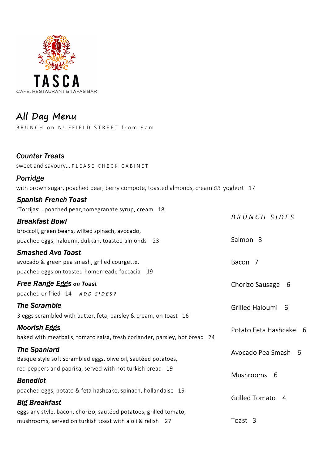

# All Day Menu

BRUNCH on NUFFIELD STREET from 9am

| <b>Counter Treats</b> |  |
|-----------------------|--|

sweet and savoury... PLEASE CHECK CABINET

# Porridge

with brown sugar, poached pear, berry compote, toasted almonds, cream OR yoghurt 17

#### **Spanish French Toast**

'Torrijas'.. poached pear, pomegranate syrup, cream 18

| <b>Breakfast Bowl</b>                             |  |
|---------------------------------------------------|--|
| broccoli, green beans, wilted spinach, avocado,   |  |
| poached eggs, haloumi, dukkah, toasted almonds 23 |  |

#### **Smashed Avo Toast**

avocado & green pea smash, grilled courgette, poached eggs on toasted homemeade foccacia 19

# **Free Range Eggs on Toast**

poached or fried 14 ADD SIDES?

# **The Scramble**

3 eggs scrambled with butter, feta, parsley & cream, on toast 16

#### **Moorish Eggs**

baked with meatballs, tomato salsa, fresh coriander, parsley, hot bread 24

# **The Spaniard**

Basque style soft scrambled eggs, olive oil, sautéed potatoes, red peppers and paprika, served with hot turkish bread 19

#### **Benedict**

poached eggs, potato & feta hashcake, spinach, hollandaise 19

# **Big Breakfast**

eggs any style, bacon, chorizo, sautéed potatoes, grilled tomato, mushrooms, served on turkish toast with aioli & relish 27

- - **BRUNCH SIDES**
- Salmon<sub>8</sub>
	- Bacon<sub>7</sub>
		- Chorizo Sausage 6

Grilled Haloumi 6

- Potato Feta Hashcake 6
- Avocado Pea Smash 6
- Mushrooms 6
- Grilled Tomato 4
- Toast 3